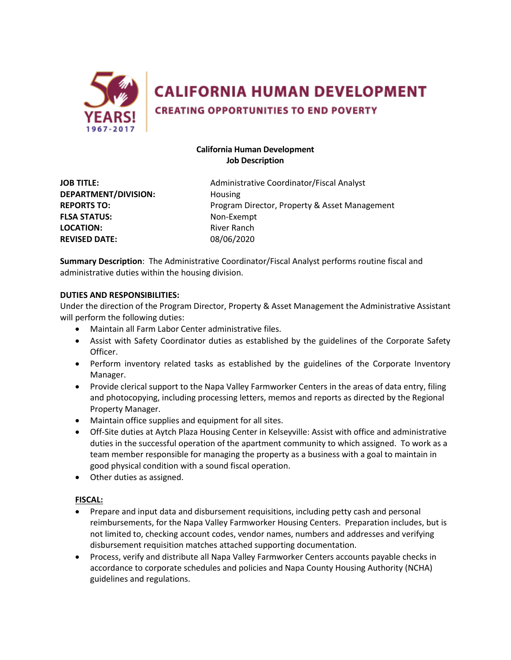

**CALIFORNIA HUMAN DEVELOPMENT** 

**CREATING OPPORTUNITIES TO END POVERTY** 

# **California Human Development Job Description**

**DEPARTMENT/DIVISION:** Housing **FLSA STATUS:** Non-Exempt **LOCATION:** River Ranch **REVISED DATE:** 08/06/2020

**JOB TITLE:** Administrative Coordinator/Fiscal Analyst **REPORTS TO:** Program Director, Property & Asset Management

**Summary Description**: The Administrative Coordinator/Fiscal Analyst performs routine fiscal and administrative duties within the housing division.

## **DUTIES AND RESPONSIBILITIES:**

Under the direction of the Program Director, Property & Asset Management the Administrative Assistant will perform the following duties:

- Maintain all Farm Labor Center administrative files.
- Assist with Safety Coordinator duties as established by the guidelines of the Corporate Safety Officer.
- Perform inventory related tasks as established by the guidelines of the Corporate Inventory Manager.
- Provide clerical support to the Napa Valley Farmworker Centers in the areas of data entry, filing and photocopying, including processing letters, memos and reports as directed by the Regional Property Manager.
- Maintain office supplies and equipment for all sites.
- Off-Site duties at Aytch Plaza Housing Center in Kelseyville: Assist with office and administrative duties in the successful operation of the apartment community to which assigned. To work as a team member responsible for managing the property as a business with a goal to maintain in good physical condition with a sound fiscal operation.
- Other duties as assigned.

### **FISCAL:**

- Prepare and input data and disbursement requisitions, including petty cash and personal reimbursements, for the Napa Valley Farmworker Housing Centers. Preparation includes, but is not limited to, checking account codes, vendor names, numbers and addresses and verifying disbursement requisition matches attached supporting documentation.
- Process, verify and distribute all Napa Valley Farmworker Centers accounts payable checks in accordance to corporate schedules and policies and Napa County Housing Authority (NCHA) guidelines and regulations.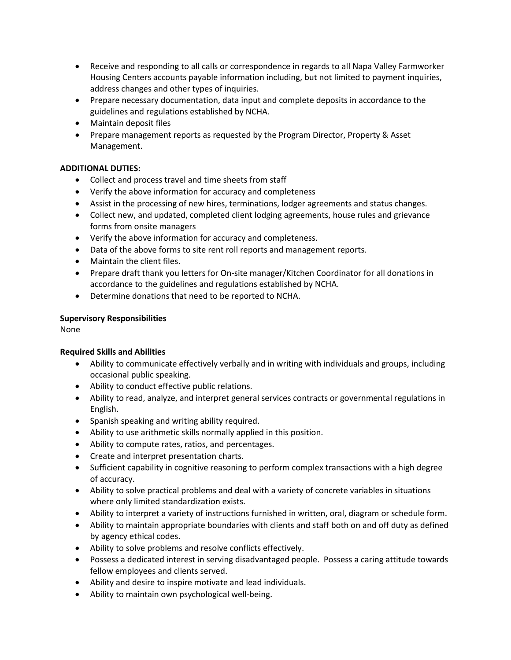- Receive and responding to all calls or correspondence in regards to all Napa Valley Farmworker Housing Centers accounts payable information including, but not limited to payment inquiries, address changes and other types of inquiries.
- Prepare necessary documentation, data input and complete deposits in accordance to the guidelines and regulations established by NCHA.
- Maintain deposit files
- Prepare management reports as requested by the Program Director, Property & Asset Management.

# **ADDITIONAL DUTIES:**

- Collect and process travel and time sheets from staff
- Verify the above information for accuracy and completeness
- Assist in the processing of new hires, terminations, lodger agreements and status changes.
- Collect new, and updated, completed client lodging agreements, house rules and grievance forms from onsite managers
- Verify the above information for accuracy and completeness.
- Data of the above forms to site rent roll reports and management reports.
- Maintain the client files.
- Prepare draft thank you letters for On-site manager/Kitchen Coordinator for all donations in accordance to the guidelines and regulations established by NCHA.
- Determine donations that need to be reported to NCHA.

### **Supervisory Responsibilities**

None

### **Required Skills and Abilities**

- Ability to communicate effectively verbally and in writing with individuals and groups, including occasional public speaking.
- Ability to conduct effective public relations.
- Ability to read, analyze, and interpret general services contracts or governmental regulations in English.
- Spanish speaking and writing ability required.
- Ability to use arithmetic skills normally applied in this position.
- Ability to compute rates, ratios, and percentages.
- Create and interpret presentation charts.
- Sufficient capability in cognitive reasoning to perform complex transactions with a high degree of accuracy.
- Ability to solve practical problems and deal with a variety of concrete variables in situations where only limited standardization exists.
- Ability to interpret a variety of instructions furnished in written, oral, diagram or schedule form.
- Ability to maintain appropriate boundaries with clients and staff both on and off duty as defined by agency ethical codes.
- Ability to solve problems and resolve conflicts effectively.
- Possess a dedicated interest in serving disadvantaged people. Possess a caring attitude towards fellow employees and clients served.
- Ability and desire to inspire motivate and lead individuals.
- Ability to maintain own psychological well-being.